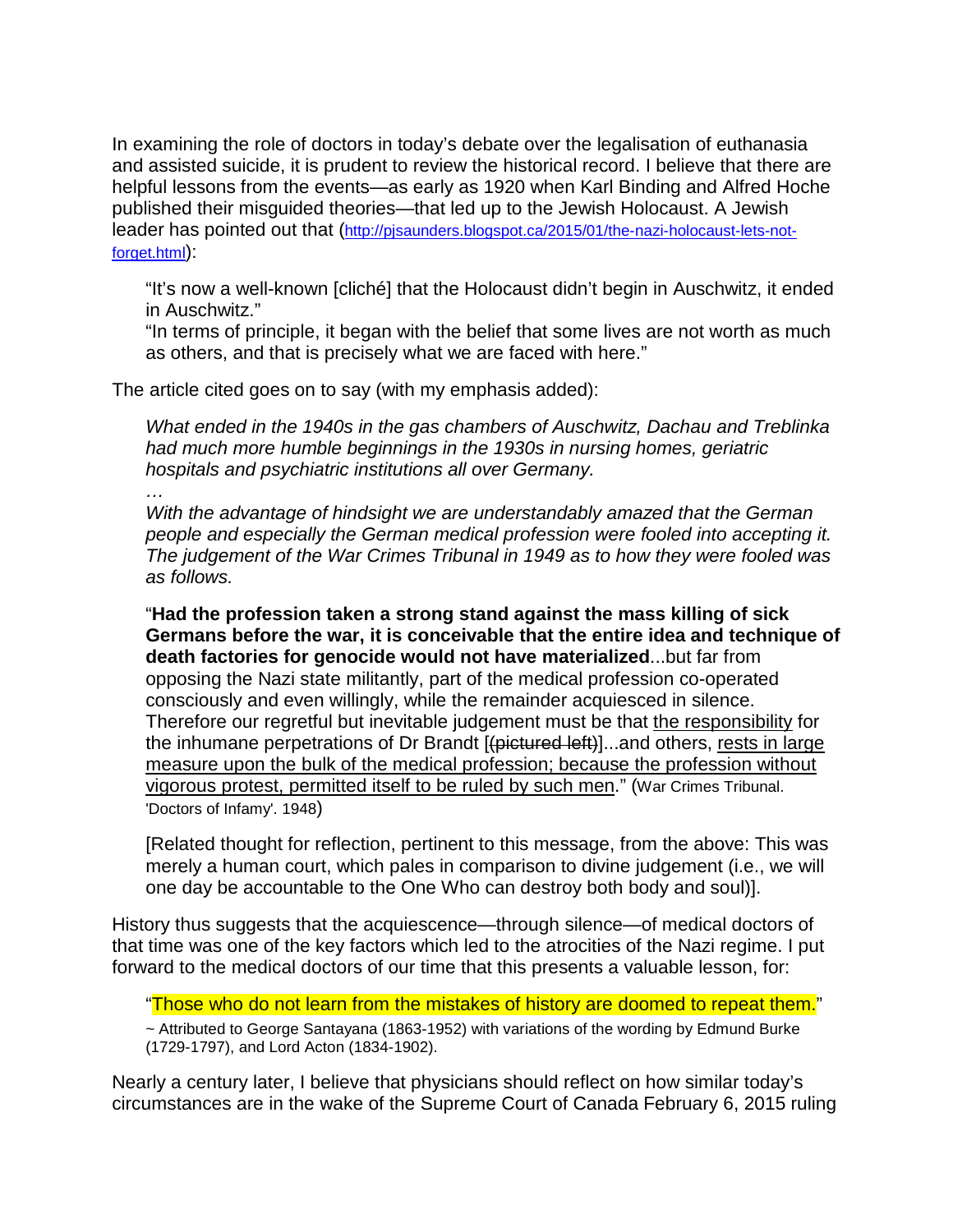In examining the role of doctors in today's debate over the legalisation of euthanasia and assisted suicide, it is prudent to review the historical record. I believe that there are helpful lessons from the events—as early as 1920 when Karl Binding and Alfred Hoche published their misguided theories—that led up to the Jewish Holocaust. A Jewish leader has pointed out that [\(http://pjsaunders.blogspot.ca/2015/01/the-nazi-holocaust-lets-not](http://pjsaunders.blogspot.ca/2015/01/the-nazi-holocaust-lets-not-forget.html)[forget.html\)](http://pjsaunders.blogspot.ca/2015/01/the-nazi-holocaust-lets-not-forget.html):

"It's now a well-known [cliché] that the Holocaust didn't begin in Auschwitz, it ended in Auschwitz."

"In terms of principle, it began with the belief that some lives are not worth as much as others, and that is precisely what we are faced with here."

The article cited goes on to say (with my emphasis added):

*What ended in the 1940s in the gas chambers of Auschwitz, Dachau and Treblinka had much more humble beginnings in the 1930s in nursing homes, geriatric hospitals and psychiatric institutions all over Germany.*

*…*

*With the advantage of hindsight we are understandably amazed that the German people and especially the German medical profession were fooled into accepting it. The judgement of the War Crimes Tribunal in 1949 as to how they were fooled was as follows.*

"**Had the profession taken a strong stand against the mass killing of sick Germans before the war, it is conceivable that the entire idea and technique of death factories for genocide would not have materialized**...but far from opposing the Nazi state militantly, part of the medical profession co-operated consciously and even willingly, while the remainder acquiesced in silence. Therefore our regretful but inevitable judgement must be that the responsibility for the inhumane perpetrations of Dr Brandt [(pictured left)]...and others, rests in large measure upon the bulk of the medical profession; because the profession without vigorous protest, permitted itself to be ruled by such men." (War Crimes Tribunal. 'Doctors of Infamy'. 1948)

[Related thought for reflection, pertinent to this message, from the above: This was merely a human court, which pales in comparison to divine judgement (i.e., we will one day be accountable to the One Who can destroy both body and soul)].

History thus suggests that the acquiescence—through silence—of medical doctors of that time was one of the key factors which led to the atrocities of the Nazi regime. I put forward to the medical doctors of our time that this presents a valuable lesson, for:

"Those who do not learn from the mistakes of history are doomed to repeat them." ~ Attributed to George Santayana (1863-1952) with variations of the wording by Edmund Burke (1729-1797), and Lord Acton (1834-1902).

Nearly a century later, I believe that physicians should reflect on how similar today's circumstances are in the wake of the Supreme Court of Canada February 6, 2015 ruling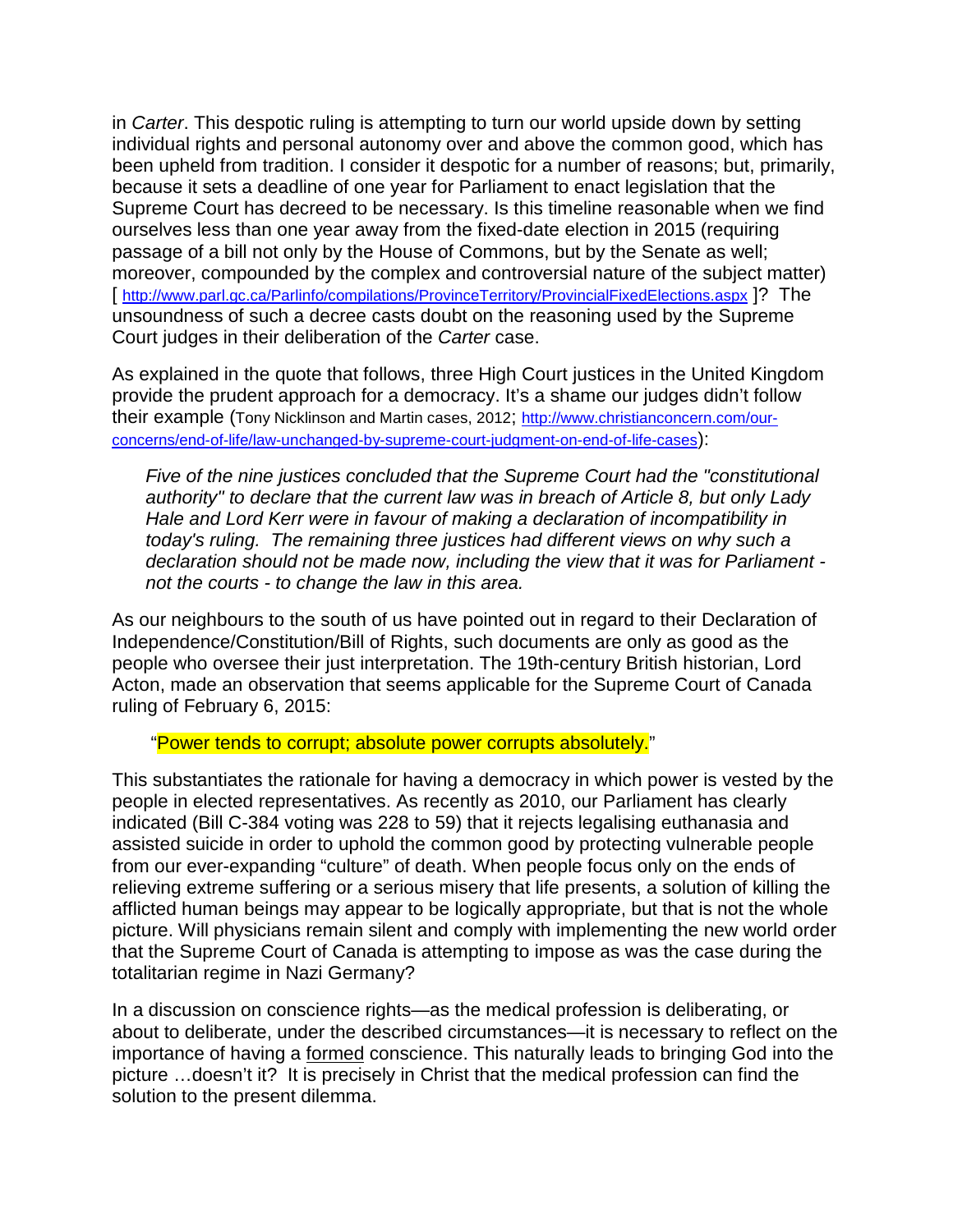in *Carter*. This despotic ruling is attempting to turn our world upside down by setting individual rights and personal autonomy over and above the common good, which has been upheld from tradition. I consider it despotic for a number of reasons; but, primarily, because it sets a deadline of one year for Parliament to enact legislation that the Supreme Court has decreed to be necessary. Is this timeline reasonable when we find ourselves less than one year away from the fixed-date election in 2015 (requiring passage of a bill not only by the House of Commons, but by the Senate as well; moreover, compounded by the complex and controversial nature of the subject matter) [<http://www.parl.gc.ca/Parlinfo/compilations/ProvinceTerritory/ProvincialFixedElections.aspx> ]? The unsoundness of such a decree casts doubt on the reasoning used by the Supreme Court judges in their deliberation of the *Carter* case.

As explained in the quote that follows, three High Court justices in the United Kingdom provide the prudent approach for a democracy. It's a shame our judges didn't follow their example (Tony Nicklinson and Martin cases, 2012; [http://www.christianconcern.com/our](http://www.christianconcern.com/our-concerns/end-of-life/law-unchanged-by-supreme-court-judgment-on-end-of-life-cases)[concerns/end-of-life/law-unchanged-by-supreme-court-judgment-on-end-of-life-cases\)](http://www.christianconcern.com/our-concerns/end-of-life/law-unchanged-by-supreme-court-judgment-on-end-of-life-cases):

*Five of the nine justices concluded that the Supreme Court had the "constitutional authority" to declare that the current law was in breach of Article 8, but only Lady Hale and Lord Kerr were in favour of making a declaration of incompatibility in today's ruling. The remaining three justices had different views on why such a declaration should not be made now, including the view that it was for Parliament not the courts - to change the law in this area.*

As our neighbours to the south of us have pointed out in regard to their Declaration of Independence/Constitution/Bill of Rights, such documents are only as good as the people who oversee their just interpretation. The 19th-century British historian, Lord Acton, made an observation that seems applicable for the Supreme Court of Canada ruling of February 6, 2015:

# "Power tends to corrupt; absolute power corrupts absolutely."

This substantiates the rationale for having a democracy in which power is vested by the people in elected representatives. As recently as 2010, our Parliament has clearly indicated (Bill C-384 voting was 228 to 59) that it rejects legalising euthanasia and assisted suicide in order to uphold the common good by protecting vulnerable people from our ever-expanding "culture" of death. When people focus only on the ends of relieving extreme suffering or a serious misery that life presents, a solution of killing the afflicted human beings may appear to be logically appropriate, but that is not the whole picture. Will physicians remain silent and comply with implementing the new world order that the Supreme Court of Canada is attempting to impose as was the case during the totalitarian regime in Nazi Germany?

In a discussion on conscience rights—as the medical profession is deliberating, or about to deliberate, under the described circumstances—it is necessary to reflect on the importance of having a formed conscience. This naturally leads to bringing God into the picture …doesn't it? It is precisely in Christ that the medical profession can find the solution to the present dilemma.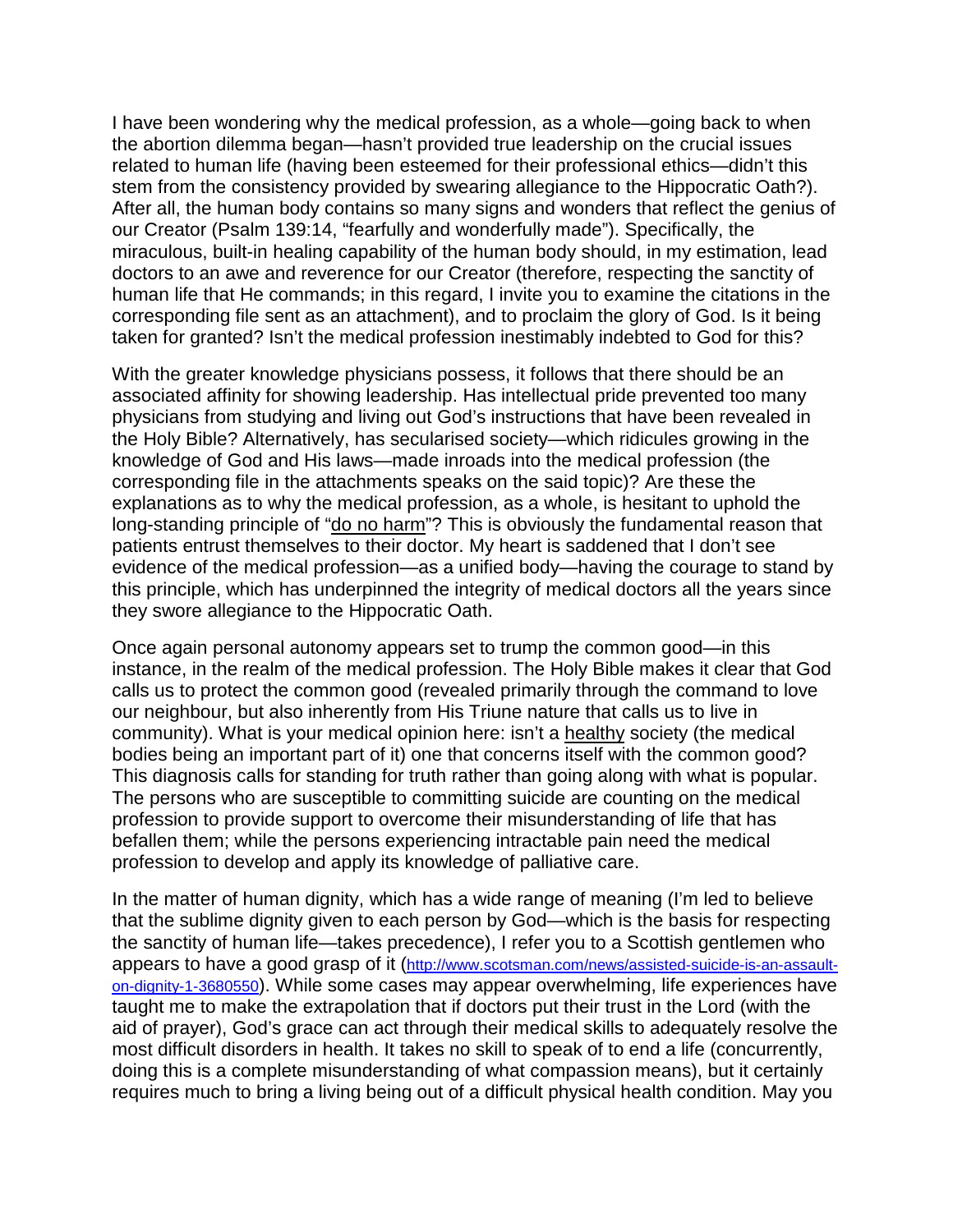I have been wondering why the medical profession, as a whole—going back to when the abortion dilemma began—hasn't provided true leadership on the crucial issues related to human life (having been esteemed for their professional ethics—didn't this stem from the consistency provided by swearing allegiance to the Hippocratic Oath?). After all, the human body contains so many signs and wonders that reflect the genius of our Creator (Psalm 139:14, "fearfully and wonderfully made"). Specifically, the miraculous, built-in healing capability of the human body should, in my estimation, lead doctors to an awe and reverence for our Creator (therefore, respecting the sanctity of human life that He commands; in this regard, I invite you to examine the citations in the corresponding file sent as an attachment), and to proclaim the glory of God. Is it being taken for granted? Isn't the medical profession inestimably indebted to God for this?

With the greater knowledge physicians possess, it follows that there should be an associated affinity for showing leadership. Has intellectual pride prevented too many physicians from studying and living out God's instructions that have been revealed in the Holy Bible? Alternatively, has secularised society—which ridicules growing in the knowledge of God and His laws—made inroads into the medical profession (the corresponding file in the attachments speaks on the said topic)? Are these the explanations as to why the medical profession, as a whole, is hesitant to uphold the long-standing principle of "do no harm"? This is obviously the fundamental reason that patients entrust themselves to their doctor. My heart is saddened that I don't see evidence of the medical profession—as a unified body—having the courage to stand by this principle, which has underpinned the integrity of medical doctors all the years since they swore allegiance to the Hippocratic Oath.

Once again personal autonomy appears set to trump the common good—in this instance, in the realm of the medical profession. The Holy Bible makes it clear that God calls us to protect the common good (revealed primarily through the command to love our neighbour, but also inherently from His Triune nature that calls us to live in community). What is your medical opinion here: isn't a healthy society (the medical bodies being an important part of it) one that concerns itself with the common good? This diagnosis calls for standing for truth rather than going along with what is popular. The persons who are susceptible to committing suicide are counting on the medical profession to provide support to overcome their misunderstanding of life that has befallen them; while the persons experiencing intractable pain need the medical profession to develop and apply its knowledge of palliative care.

In the matter of human dignity, which has a wide range of meaning (I'm led to believe that the sublime dignity given to each person by God—which is the basis for respecting the sanctity of human life—takes precedence), I refer you to a Scottish gentlemen who appears to have a good grasp of it [\(http://www.scotsman.com/news/assisted-suicide-is-an-assault](http://www.scotsman.com/news/assisted-suicide-is-an-assault-on-dignity-1-3680550)[on-dignity-1-3680550\)](http://www.scotsman.com/news/assisted-suicide-is-an-assault-on-dignity-1-3680550). While some cases may appear overwhelming, life experiences have taught me to make the extrapolation that if doctors put their trust in the Lord (with the aid of prayer), God's grace can act through their medical skills to adequately resolve the most difficult disorders in health. It takes no skill to speak of to end a life (concurrently, doing this is a complete misunderstanding of what compassion means), but it certainly requires much to bring a living being out of a difficult physical health condition. May you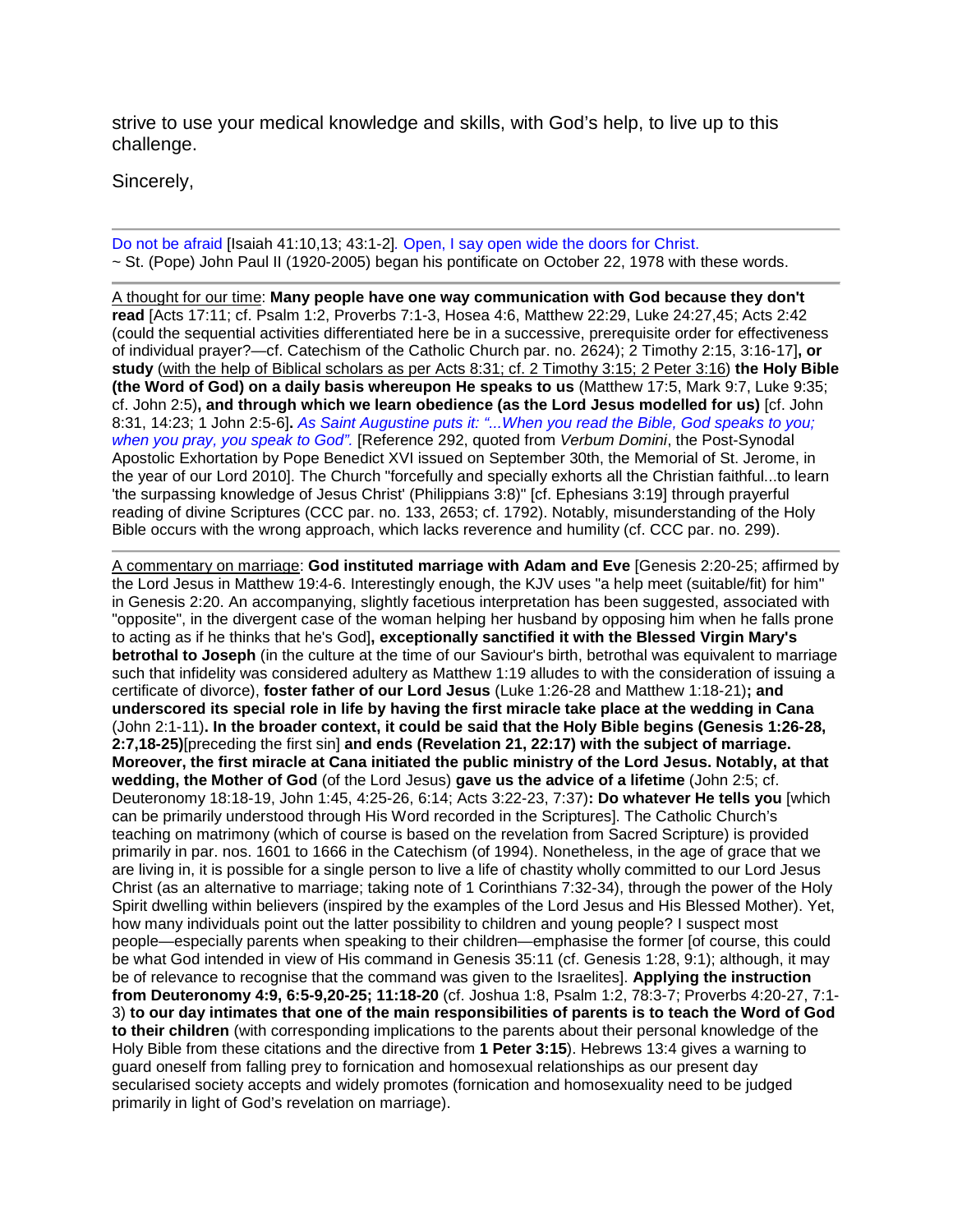strive to use your medical knowledge and skills, with God's help, to live up to this challenge.

Sincerely,

Do not be afraid [Isaiah 41:10,13; 43:1-2]*.* Open, I say open wide the doors for Christ. ~ St. (Pope) John Paul II (1920-2005) began his pontificate on October 22, 1978 with these words.

A thought for our time: **Many people have one way communication with God because they don't read** [Acts 17:11; cf. Psalm 1:2, Proverbs 7:1-3, Hosea 4:6, Matthew 22:29, Luke 24:27,45; Acts 2:42 (could the sequential activities differentiated here be in a successive, prerequisite order for effectiveness of individual prayer?—cf. Catechism of the Catholic Church par. no. 2624); 2 Timothy 2:15, 3:16-17]**, or study** (with the help of Biblical scholars as per Acts 8:31; cf. 2 Timothy 3:15; 2 Peter 3:16) **the Holy Bible (the Word of God) on a daily basis whereupon He speaks to us** (Matthew 17:5, Mark 9:7, Luke 9:35; cf. John 2:5)**, and through which we learn obedience (as the Lord Jesus modelled for us)** [cf. John 8:31, 14:23; 1 John 2:5-6]**.** *As Saint Augustine puts it: "...When you read the Bible, God speaks to you; when you pray, you speak to God".* [Reference 292, quoted from *Verbum Domini*, the Post-Synodal Apostolic Exhortation by Pope Benedict XVI issued on September 30th, the Memorial of St. Jerome, in the year of our Lord 2010]. The Church "forcefully and specially exhorts all the Christian faithful...to learn 'the surpassing knowledge of Jesus Christ' (Philippians 3:8)" [cf. Ephesians 3:19] through prayerful reading of divine Scriptures (CCC par. no. 133, 2653; cf. 1792). Notably, misunderstanding of the Holy Bible occurs with the wrong approach, which lacks reverence and humility (cf. CCC par. no. 299).

A commentary on marriage: **God instituted marriage with Adam and Eve** [Genesis 2:20-25; affirmed by the Lord Jesus in Matthew 19:4-6. Interestingly enough, the KJV uses "a help meet (suitable/fit) for him" in Genesis 2:20. An accompanying, slightly facetious interpretation has been suggested, associated with "opposite", in the divergent case of the woman helping her husband by opposing him when he falls prone to acting as if he thinks that he's God]**, exceptionally sanctified it with the Blessed Virgin Mary's betrothal to Joseph** (in the culture at the time of our Saviour's birth, betrothal was equivalent to marriage such that infidelity was considered adultery as Matthew 1:19 alludes to with the consideration of issuing a certificate of divorce), **foster father of our Lord Jesus** (Luke 1:26-28 and Matthew 1:18-21)**; and underscored its special role in life by having the first miracle take place at the wedding in Cana** (John 2:1-11)**. In the broader context, it could be said that the Holy Bible begins (Genesis 1:26-28, 2:7,18-25)**[preceding the first sin] **and ends (Revelation 21, 22:17) with the subject of marriage. Moreover, the first miracle at Cana initiated the public ministry of the Lord Jesus. Notably, at that wedding, the Mother of God** (of the Lord Jesus) **gave us the advice of a lifetime** (John 2:5; cf. Deuteronomy 18:18-19, John 1:45, 4:25-26, 6:14; Acts 3:22-23, 7:37)**: Do whatever He tells you** [which can be primarily understood through His Word recorded in the Scriptures]. The Catholic Church's teaching on matrimony (which of course is based on the revelation from Sacred Scripture) is provided primarily in par. nos. 1601 to 1666 in the Catechism (of 1994). Nonetheless, in the age of grace that we are living in, it is possible for a single person to live a life of chastity wholly committed to our Lord Jesus Christ (as an alternative to marriage; taking note of 1 Corinthians 7:32-34), through the power of the Holy Spirit dwelling within believers (inspired by the examples of the Lord Jesus and His Blessed Mother). Yet, how many individuals point out the latter possibility to children and young people? I suspect most people—especially parents when speaking to their children—emphasise the former [of course, this could be what God intended in view of His command in Genesis 35:11 (cf. Genesis 1:28, 9:1); although, it may be of relevance to recognise that the command was given to the Israelites]. **Applying the instruction from Deuteronomy 4:9, 6:5-9,20-25; 11:18-20** (cf. Joshua 1:8, Psalm 1:2, 78:3-7; Proverbs 4:20-27, 7:1- 3) **to our day intimates that one of the main responsibilities of parents is to teach the Word of God to their children** (with corresponding implications to the parents about their personal knowledge of the Holy Bible from these citations and the directive from **1 Peter 3:15**). Hebrews 13:4 gives a warning to guard oneself from falling prey to fornication and homosexual relationships as our present day secularised society accepts and widely promotes (fornication and homosexuality need to be judged primarily in light of God's revelation on marriage).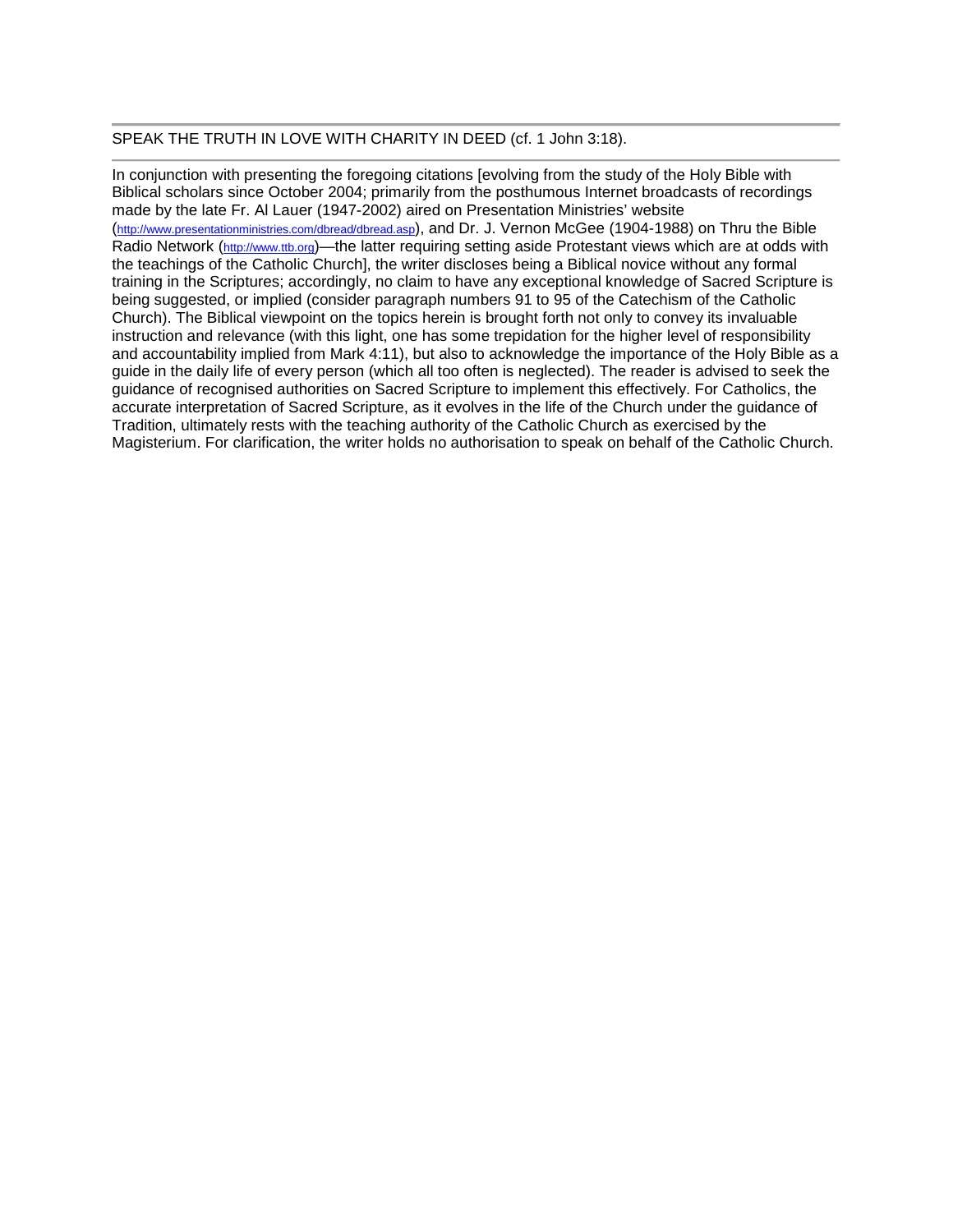#### SPEAK THE TRUTH IN LOVE WITH CHARITY IN DEED (cf. 1 John 3:18).

In conjunction with presenting the foregoing citations [evolving from the study of the Holy Bible with Biblical scholars since October 2004; primarily from the posthumous Internet broadcasts of recordings made by the late Fr. Al Lauer (1947-2002) aired on Presentation Ministries' website [\(http://www.presentationministries.com/dbread/dbread.asp\)](http://www.presentationministries.com/dbread/dbread.asp), and Dr. J. Vernon McGee (1904-1988) on Thru the Bible Radio Network [\(http://www.ttb.org\)](http://www.ttb.org/)—the latter requiring setting aside Protestant views which are at odds with the teachings of the Catholic Church], the writer discloses being a Biblical novice without any formal training in the Scriptures; accordingly, no claim to have any exceptional knowledge of Sacred Scripture is being suggested, or implied (consider paragraph numbers 91 to 95 of the Catechism of the Catholic Church). The Biblical viewpoint on the topics herein is brought forth not only to convey its invaluable instruction and relevance (with this light, one has some trepidation for the higher level of responsibility and accountability implied from Mark 4:11), but also to acknowledge the importance of the Holy Bible as a guide in the daily life of every person (which all too often is neglected). The reader is advised to seek the guidance of recognised authorities on Sacred Scripture to implement this effectively. For Catholics, the accurate interpretation of Sacred Scripture, as it evolves in the life of the Church under the guidance of Tradition, ultimately rests with the teaching authority of the Catholic Church as exercised by the Magisterium. For clarification, the writer holds no authorisation to speak on behalf of the Catholic Church.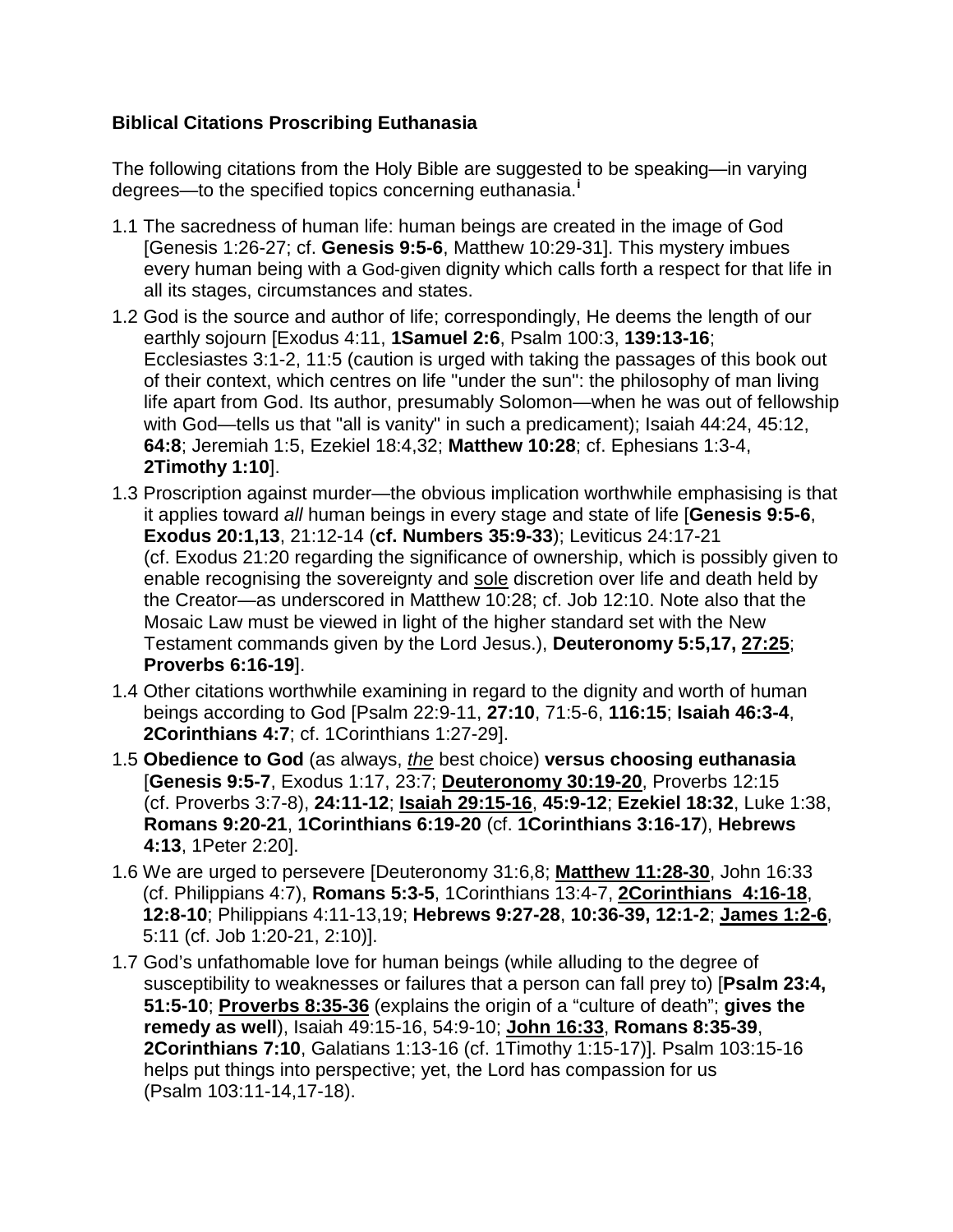### **Biblical Citations Proscribing Euthanasia**

The following citations from the Holy Bible are suggested to be speaking—in varying degrees—to the specified topics concerning euthanasia.**[i](#page-8-0)**

- 1.1 The sacredness of human life: human beings are created in the image of God [Genesis 1:26-27; cf. **Genesis 9:5-6**, Matthew 10:29-31]. This mystery imbues every human being with a God-given dignity which calls forth a respect for that life in all its stages, circumstances and states.
- 1.2 God is the source and author of life; correspondingly, He deems the length of our earthly sojourn [Exodus 4:11, **1Samuel 2:6**, Psalm 100:3, **139:13-16**; Ecclesiastes 3:1-2, 11:5 (caution is urged with taking the passages of this book out of their context, which centres on life "under the sun": the philosophy of man living life apart from God. Its author, presumably Solomon—when he was out of fellowship with God—tells us that "all is vanity" in such a predicament); Isaiah 44:24, 45:12, **64:8**; Jeremiah 1:5, Ezekiel 18:4,32; **Matthew 10:28**; cf. Ephesians 1:3-4, **2Timothy 1:10**].
- 1.3 Proscription against murder—the obvious implication worthwhile emphasising is that it applies toward *all* human beings in every stage and state of life [**Genesis 9:5-6**, **Exodus 20:1,13**, 21:12-14 (**cf. Numbers 35:9-33**); Leviticus 24:17-21 (cf. Exodus 21:20 regarding the significance of ownership, which is possibly given to enable recognising the sovereignty and sole discretion over life and death held by the Creator—as underscored in Matthew 10:28; cf. Job 12:10. Note also that the Mosaic Law must be viewed in light of the higher standard set with the New Testament commands given by the Lord Jesus.), **Deuteronomy 5:5,17, 27:25**; **Proverbs 6:16-19**].
- 1.4 Other citations worthwhile examining in regard to the dignity and worth of human beings according to God [Psalm 22:9-11, **27:10**, 71:5-6, **116:15**; **Isaiah 46:3-4**, **2Corinthians 4:7**; cf. 1Corinthians 1:27-29].
- 1.5 **Obedience to God** (as always, *the* best choice) **versus choosing euthanasia** [**Genesis 9:5-7**, Exodus 1:17, 23:7; **Deuteronomy 30:19-20**, Proverbs 12:15 (cf. Proverbs 3:7-8), **24:11-12**; **Isaiah 29:15-16**, **45:9-12**; **Ezekiel 18:32**, Luke 1:38, **Romans 9:20-21**, **1Corinthians 6:19-20** (cf. **1Corinthians 3:16-17**), **Hebrews 4:13**, 1Peter 2:20].
- 1.6 We are urged to persevere [Deuteronomy 31:6,8; **Matthew 11:28-30**, John 16:33 (cf. Philippians 4:7), **Romans 5:3-5**, 1Corinthians 13:4-7, **2Corinthians 4:16-18**, **12:8-10**; Philippians 4:11-13,19; **Hebrews 9:27-28**, **10:36-39, 12:1-2**; **James 1:2-6**, 5:11 (cf. Job 1:20-21, 2:10)].
- 1.7 God's unfathomable love for human beings (while alluding to the degree of susceptibility to weaknesses or failures that a person can fall prey to) [**Psalm 23:4, 51:5-10**; **Proverbs 8:35-36** (explains the origin of a "culture of death"; **gives the remedy as well**), Isaiah 49:15-16, 54:9-10; **John 16:33**, **Romans 8:35-39**, **2Corinthians 7:10**, Galatians 1:13-16 (cf. 1Timothy 1:15-17)]. Psalm 103:15-16 helps put things into perspective; yet, the Lord has compassion for us (Psalm 103:11-14,17-18).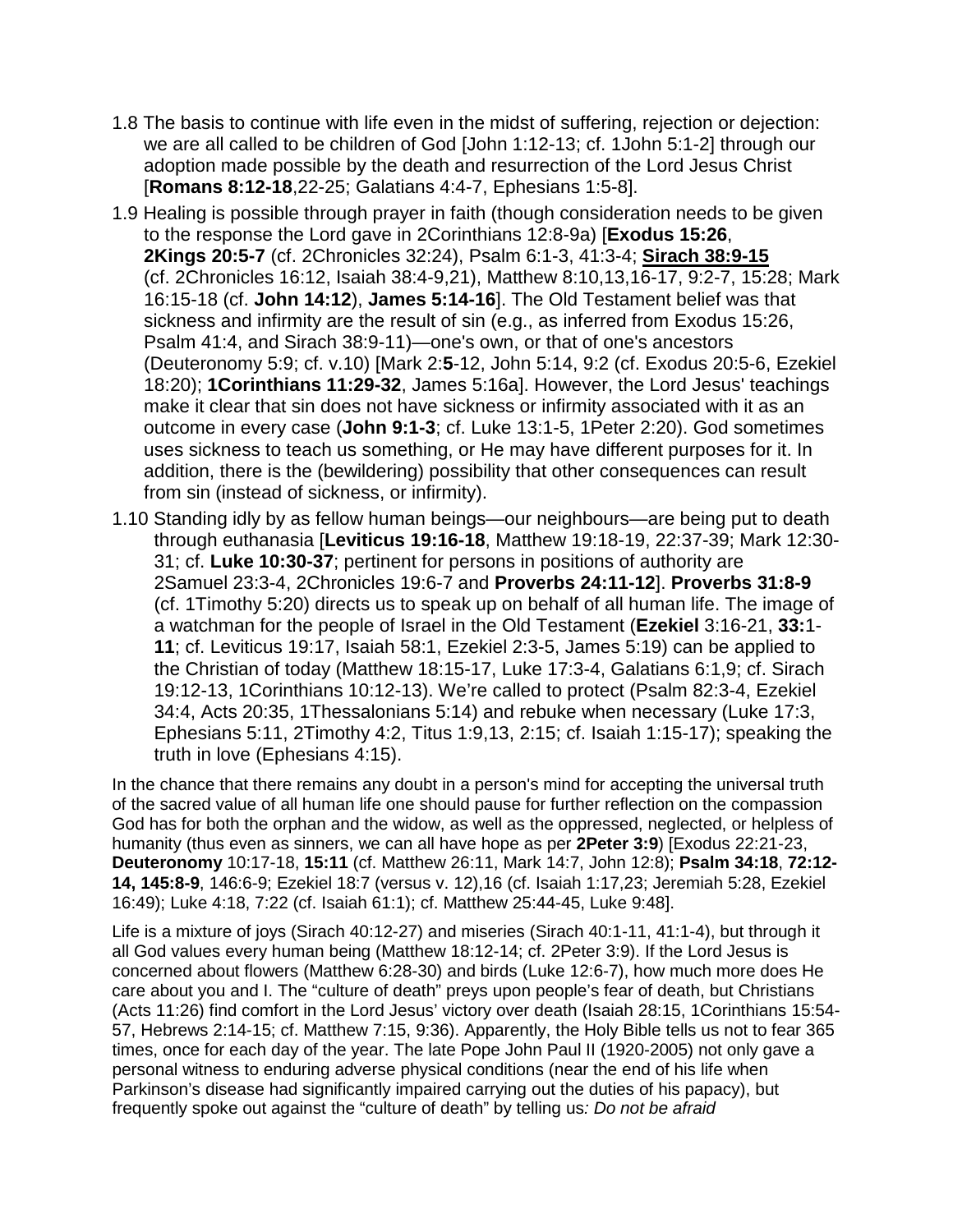- 1.8 The basis to continue with life even in the midst of suffering, rejection or dejection: we are all called to be children of God [John 1:12-13; cf. 1John 5:1-2] through our adoption made possible by the death and resurrection of the Lord Jesus Christ [**Romans 8:12-18**,22-25; Galatians 4:4-7, Ephesians 1:5-8].
- 1.9 Healing is possible through prayer in faith (though consideration needs to be given to the response the Lord gave in 2Corinthians 12:8-9a) [**Exodus 15:26**, **2Kings 20:5-7** (cf. 2Chronicles 32:24), Psalm 6:1-3, 41:3-4; **Sirach 38:9-15** (cf. 2Chronicles 16:12, Isaiah 38:4-9,21), Matthew 8:10,13,16-17, 9:2-7, 15:28; Mark 16:15-18 (cf. **John 14:12**), **James 5:14-16**]. The Old Testament belief was that sickness and infirmity are the result of sin (e.g., as inferred from Exodus 15:26, Psalm 41:4, and Sirach 38:9-11)—one's own, or that of one's ancestors (Deuteronomy 5:9; cf. v.10) [Mark 2:**5**-12, John 5:14, 9:2 (cf. Exodus 20:5-6, Ezekiel 18:20); **1Corinthians 11:29-32**, James 5:16a]. However, the Lord Jesus' teachings make it clear that sin does not have sickness or infirmity associated with it as an outcome in every case (**John 9:1-3**; cf. Luke 13:1-5, 1Peter 2:20). God sometimes uses sickness to teach us something, or He may have different purposes for it. In addition, there is the (bewildering) possibility that other consequences can result from sin (instead of sickness, or infirmity).
- 1.10 Standing idly by as fellow human beings—our neighbours—are being put to death through euthanasia [**Leviticus 19:16-18**, Matthew 19:18-19, 22:37-39; Mark 12:30- 31; cf. **Luke 10:30-37**; pertinent for persons in positions of authority are 2Samuel 23:3-4, 2Chronicles 19:6-7 and **Proverbs 24:11-12**]. **Proverbs 31:8-9** (cf. 1Timothy 5:20) directs us to speak up on behalf of all human life. The image of a watchman for the people of Israel in the Old Testament (**Ezekiel** 3:16-21, **33:**1- **11**; cf. Leviticus 19:17, Isaiah 58:1, Ezekiel 2:3-5, James 5:19) can be applied to the Christian of today (Matthew 18:15-17, Luke 17:3-4, Galatians 6:1,9; cf. Sirach 19:12-13, 1Corinthians 10:12-13). We're called to protect (Psalm 82:3-4, Ezekiel 34:4, Acts 20:35, 1Thessalonians 5:14) and rebuke when necessary (Luke 17:3, Ephesians 5:11, 2Timothy 4:2, Titus 1:9,13, 2:15; cf. Isaiah 1:15-17); speaking the truth in love (Ephesians 4:15).

In the chance that there remains any doubt in a person's mind for accepting the universal truth of the sacred value of all human life one should pause for further reflection on the compassion God has for both the orphan and the widow, as well as the oppressed, neglected, or helpless of humanity (thus even as sinners, we can all have hope as per **2Peter 3:9**) [Exodus 22:21-23, **Deuteronomy** 10:17-18, **15:11** (cf. Matthew 26:11, Mark 14:7, John 12:8); **Psalm 34:18**, **72:12- 14, 145:8-9**, 146:6-9; Ezekiel 18:7 (versus v. 12),16 (cf. Isaiah 1:17,23; Jeremiah 5:28, Ezekiel 16:49); Luke 4:18, 7:22 (cf. Isaiah 61:1); cf. Matthew 25:44-45, Luke 9:48].

Life is a mixture of joys (Sirach 40:12-27) and miseries (Sirach 40:1-11, 41:1-4), but through it all God values every human being (Matthew 18:12-14; cf. 2Peter 3:9). If the Lord Jesus is concerned about flowers (Matthew 6:28-30) and birds (Luke 12:6-7), how much more does He care about you and I. The "culture of death" preys upon people's fear of death, but Christians (Acts 11:26) find comfort in the Lord Jesus' victory over death (Isaiah 28:15, 1Corinthians 15:54- 57, Hebrews 2:14-15; cf. Matthew 7:15, 9:36). Apparently, the Holy Bible tells us not to fear 365 times, once for each day of the year. The late Pope John Paul II (1920-2005) not only gave a personal witness to enduring adverse physical conditions (near the end of his life when Parkinson's disease had significantly impaired carrying out the duties of his papacy), but frequently spoke out against the "culture of death" by telling us*: Do not be afraid*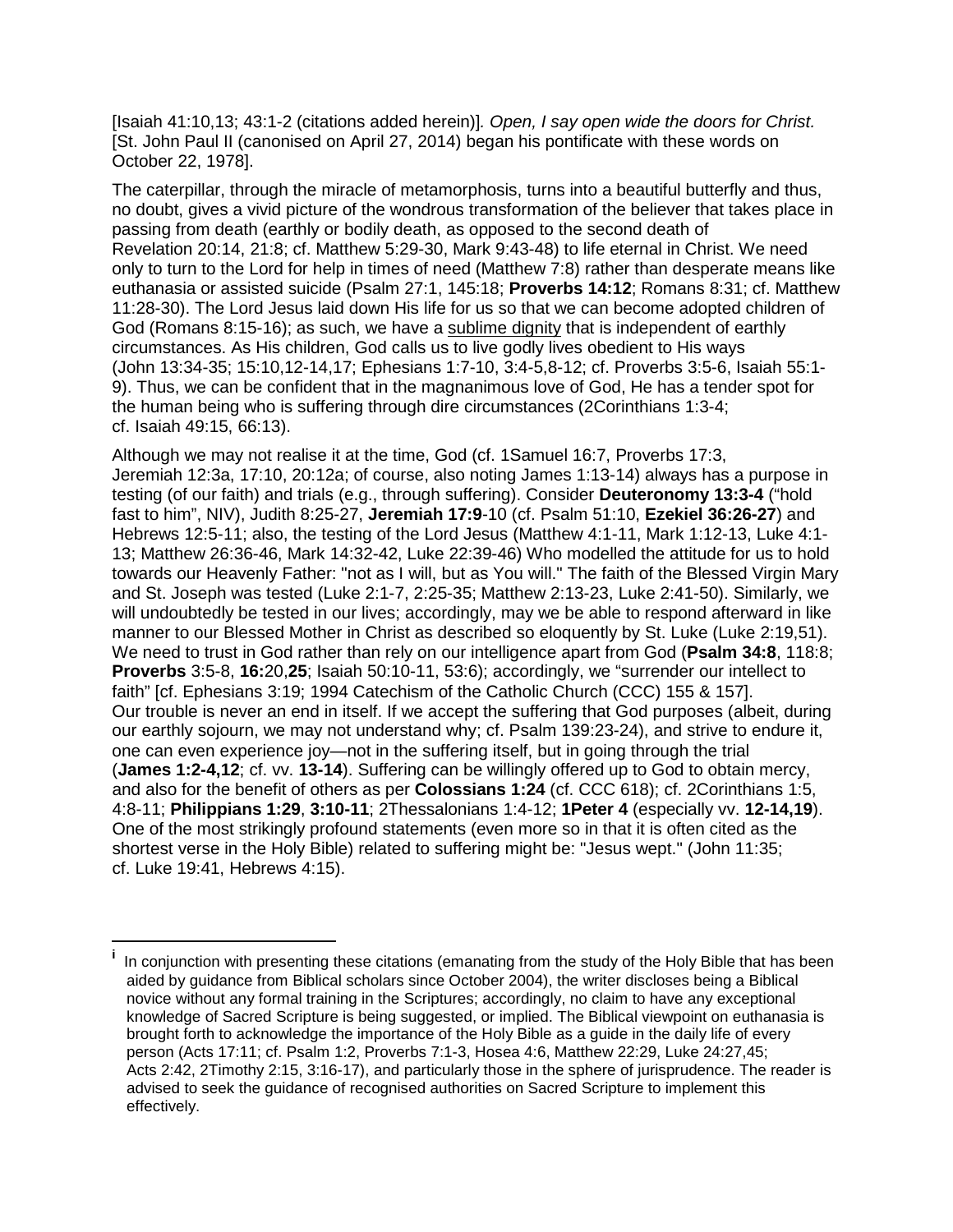[Isaiah 41:10,13; 43:1-2 (citations added herein)]*. Open, I say open wide the doors for Christ.* [St. John Paul II (canonised on April 27, 2014) began his pontificate with these words on October 22, 1978].

The caterpillar, through the miracle of metamorphosis, turns into a beautiful butterfly and thus, no doubt, gives a vivid picture of the wondrous transformation of the believer that takes place in passing from death (earthly or bodily death, as opposed to the second death of Revelation 20:14, 21:8; cf. Matthew 5:29-30, Mark 9:43-48) to life eternal in Christ. We need only to turn to the Lord for help in times of need (Matthew 7:8) rather than desperate means like euthanasia or assisted suicide (Psalm 27:1, 145:18; **Proverbs 14:12**; Romans 8:31; cf. Matthew 11:28-30). The Lord Jesus laid down His life for us so that we can become adopted children of God (Romans 8:15-16); as such, we have a sublime dignity that is independent of earthly circumstances. As His children, God calls us to live godly lives obedient to His ways (John 13:34-35; 15:10,12-14,17; Ephesians 1:7-10, 3:4-5,8-12; cf. Proverbs 3:5-6, Isaiah 55:1- 9). Thus, we can be confident that in the magnanimous love of God, He has a tender spot for the human being who is suffering through dire circumstances (2Corinthians 1:3-4; cf. Isaiah 49:15, 66:13).

Although we may not realise it at the time, God (cf. 1Samuel 16:7, Proverbs 17:3, Jeremiah 12:3a, 17:10, 20:12a; of course, also noting James 1:13-14) always has a purpose in testing (of our faith) and trials (e.g., through suffering). Consider **Deuteronomy 13:3-4** ("hold fast to him", NIV), Judith 8:25-27, **Jeremiah 17:9**-10 (cf. Psalm 51:10, **Ezekiel 36:26-27**) and Hebrews 12:5-11; also, the testing of the Lord Jesus (Matthew 4:1-11, Mark 1:12-13, Luke 4:1- 13; Matthew 26:36-46, Mark 14:32-42, Luke 22:39-46) Who modelled the attitude for us to hold towards our Heavenly Father: "not as I will, but as You will." The faith of the Blessed Virgin Mary and St. Joseph was tested (Luke 2:1-7, 2:25-35; Matthew 2:13-23, Luke 2:41-50). Similarly, we will undoubtedly be tested in our lives; accordingly, may we be able to respond afterward in like manner to our Blessed Mother in Christ as described so eloquently by St. Luke (Luke 2:19,51). We need to trust in God rather than rely on our intelligence apart from God (**Psalm 34:8**, 118:8; **Proverbs** 3:5-8, **16:**20,**25**; Isaiah 50:10-11, 53:6); accordingly, we "surrender our intellect to faith" [cf. Ephesians 3:19; 1994 Catechism of the Catholic Church (CCC) 155 & 157]. Our trouble is never an end in itself. If we accept the suffering that God purposes (albeit, during our earthly sojourn, we may not understand why; cf. Psalm 139:23-24), and strive to endure it, one can even experience joy—not in the suffering itself, but in going through the trial (**James 1:2-4,12**; cf. vv. **13-14**). Suffering can be willingly offered up to God to obtain mercy, and also for the benefit of others as per **Colossians 1:24** (cf. CCC 618); cf. 2Corinthians 1:5, 4:8-11; **Philippians 1:29**, **3:10-11**; 2Thessalonians 1:4-12; **1Peter 4** (especially vv. **12-14,19**). One of the most strikingly profound statements (even more so in that it is often cited as the shortest verse in the Holy Bible) related to suffering might be: "Jesus wept." (John 11:35; cf. Luke 19:41, Hebrews 4:15).

**i** In coniunction with presenting these citations (emanating from the study of the Holy Bible that has been aided by guidance from Biblical scholars since October 2004), the writer discloses being a Biblical novice without any formal training in the Scriptures; accordingly, no claim to have any exceptional knowledge of Sacred Scripture is being suggested, or implied. The Biblical viewpoint on euthanasia is brought forth to acknowledge the importance of the Holy Bible as a guide in the daily life of every person (Acts 17:11; cf. Psalm 1:2, Proverbs 7:1-3, Hosea 4:6, Matthew 22:29, Luke 24:27,45; Acts 2:42, 2Timothy 2:15, 3:16-17), and particularly those in the sphere of jurisprudence. The reader is advised to seek the guidance of recognised authorities on Sacred Scripture to implement this effectively.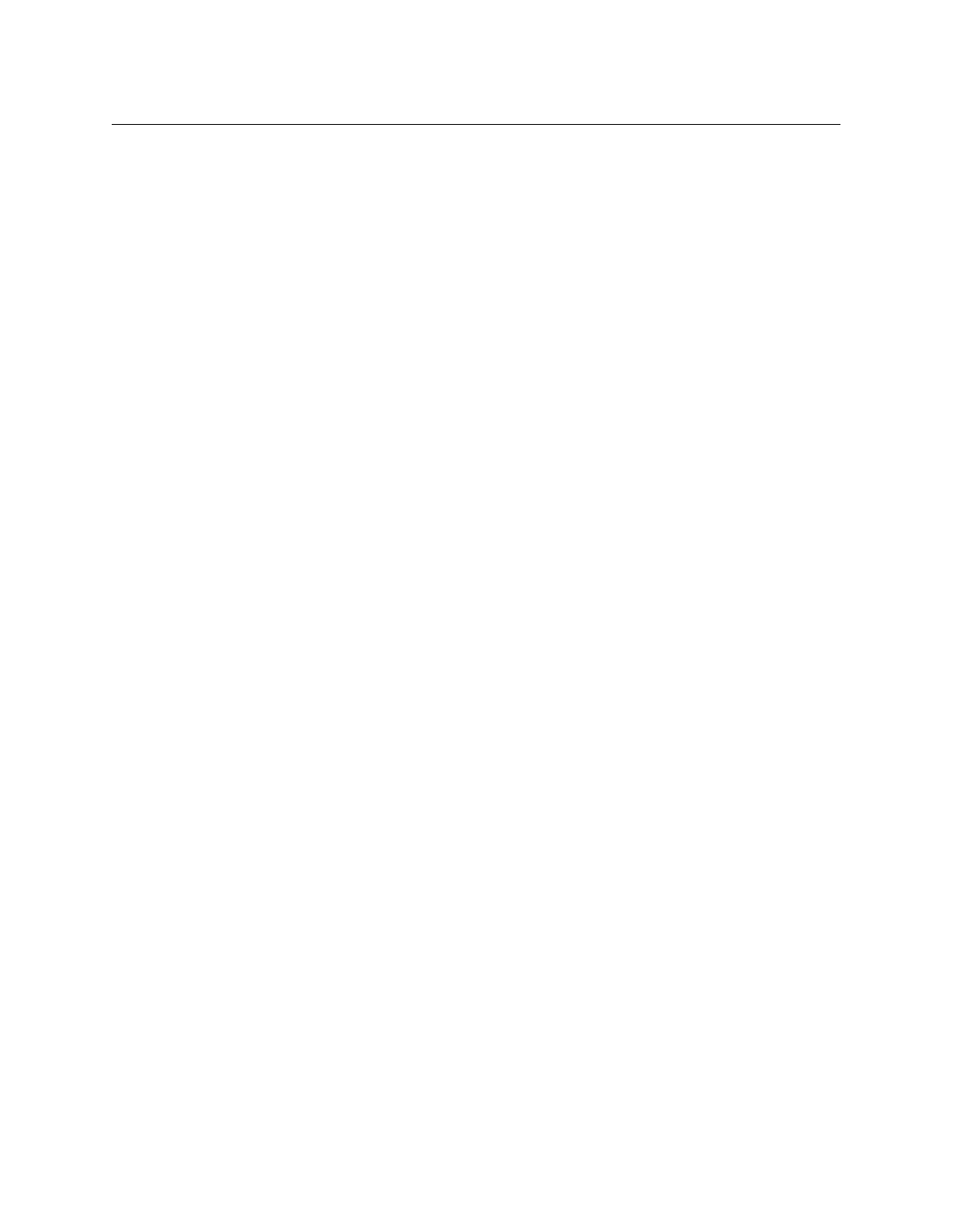<span id="page-8-0"></span>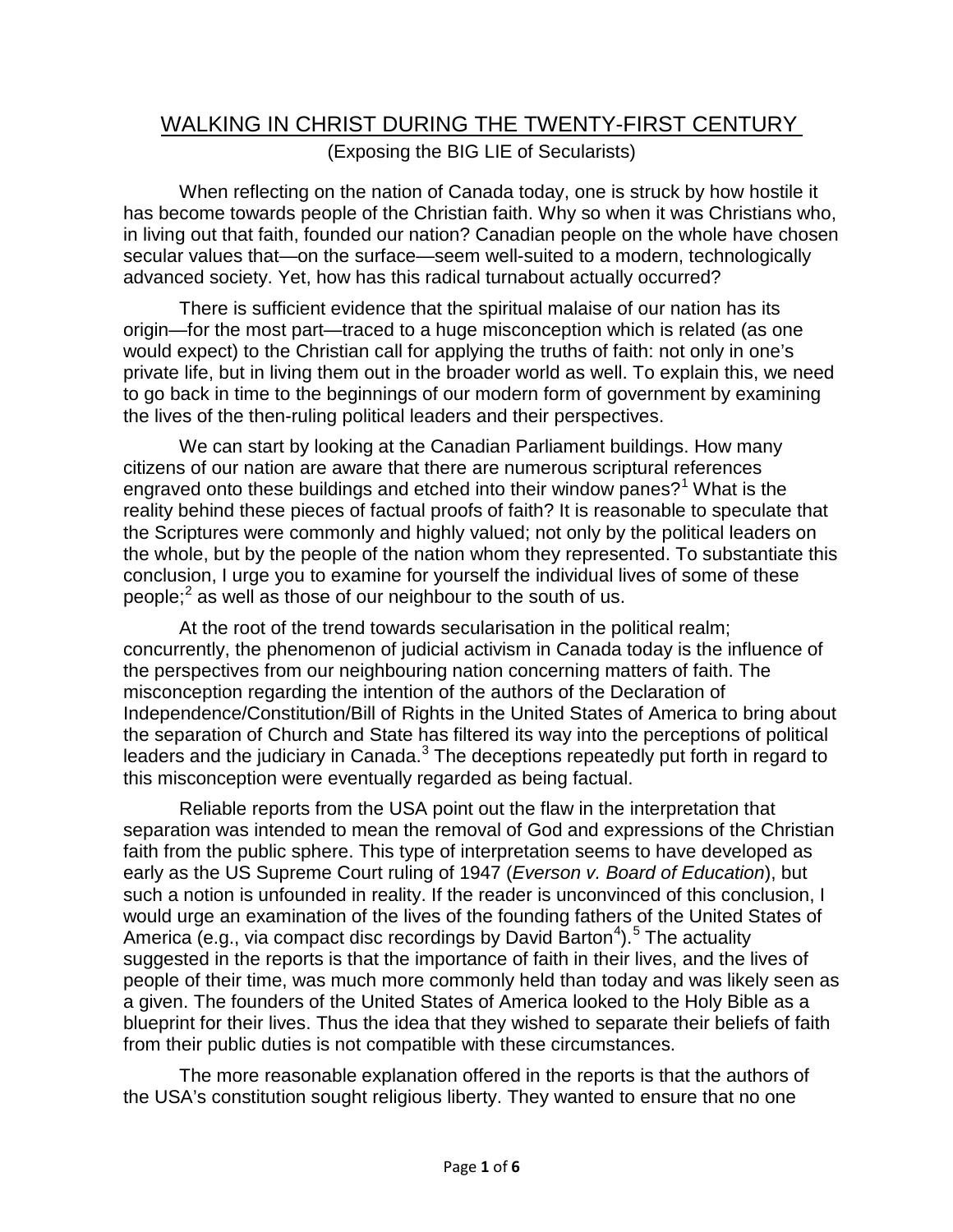## WALKING IN CHRIST DURING THE TWENTY-FIRST CENTURY

(Exposing the BIG LIE of Secularists)

When reflecting on the nation of Canada today, one is struck by how hostile it has become towards people of the Christian faith. Why so when it was Christians who, in living out that faith, founded our nation? Canadian people on the whole have chosen secular values that—on the surface—seem well-suited to a modern, technologically advanced society. Yet, how has this radical turnabout actually occurred?

There is sufficient evidence that the spiritual malaise of our nation has its origin—for the most part—traced to a huge misconception which is related (as one would expect) to the Christian call for applying the truths of faith: not only in one's private life, but in living them out in the broader world as well. To explain this, we need to go back in time to the beginnings of our modern form of government by examining the lives of the then-ruling political leaders and their perspectives.

We can start by looking at the Canadian Parliament buildings. How many citizens of our nation are aware that there are numerous scriptural references engraved onto these buildings and etched into their window panes?<sup>[1](#page-11-0)</sup> What is the reality behind these pieces of factual proofs of faith? It is reasonable to speculate that the Scriptures were commonly and highly valued; not only by the political leaders on the whole, but by the people of the nation whom they represented. To substantiate this conclusion, I urge you to examine for yourself the individual lives of some of these people;<sup>[2](#page-11-1)</sup> as well as those of our neighbour to the south of us.

At the root of the trend towards secularisation in the political realm; concurrently, the phenomenon of judicial activism in Canada today is the influence of the perspectives from our neighbouring nation concerning matters of faith. The misconception regarding the intention of the authors of the Declaration of Independence/Constitution/Bill of Rights in the United States of America to bring about the separation of Church and State has filtered its way into the perceptions of political leaders and the judiciary in Canada.<sup>[3](#page-11-2)</sup> The deceptions repeatedly put forth in regard to this misconception were eventually regarded as being factual.

Reliable reports from the USA point out the flaw in the interpretation that separation was intended to mean the removal of God and expressions of the Christian faith from the public sphere. This type of interpretation seems to have developed as early as the US Supreme Court ruling of 1947 (*Everson v. Board of Education*), but such a notion is unfounded in reality. If the reader is unconvinced of this conclusion, I would urge an examination of the lives of the founding fathers of the United States of America (e.g., via compact disc recordings by David Barton<sup>[4](#page-11-3)</sup>).<sup>[5](#page-11-4)</sup> The actuality suggested in the reports is that the importance of faith in their lives, and the lives of people of their time, was much more commonly held than today and was likely seen as a given. The founders of the United States of America looked to the Holy Bible as a blueprint for their lives. Thus the idea that they wished to separate their beliefs of faith from their public duties is not compatible with these circumstances.

The more reasonable explanation offered in the reports is that the authors of the USA's constitution sought religious liberty. They wanted to ensure that no one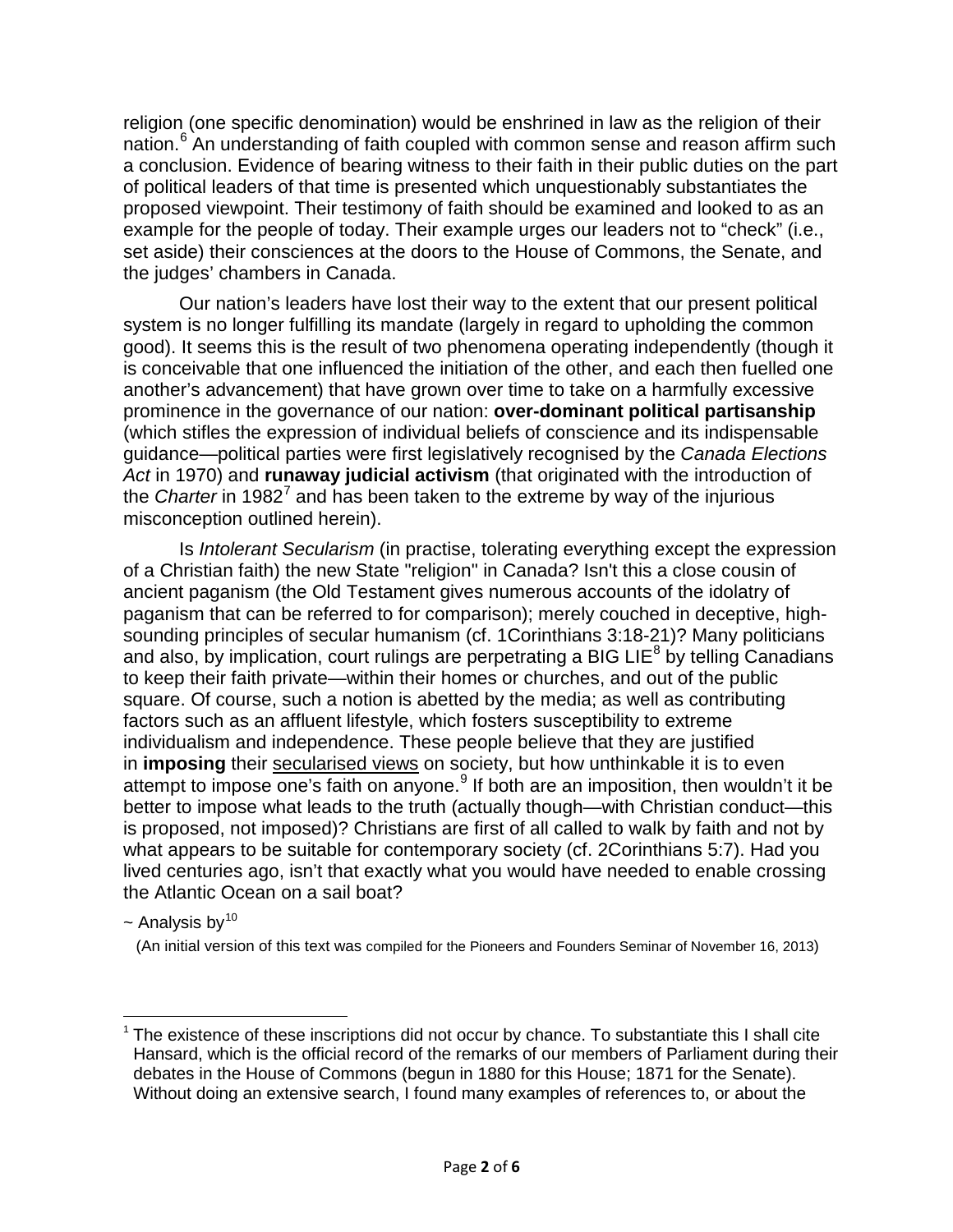religion (one specific denomination) would be enshrined in law as the religion of their nation.<sup>[6](#page-12-0)</sup> An understanding of faith coupled with common sense and reason affirm such a conclusion. Evidence of bearing witness to their faith in their public duties on the part of political leaders of that time is presented which unquestionably substantiates the proposed viewpoint. Their testimony of faith should be examined and looked to as an example for the people of today. Their example urges our leaders not to "check" (i.e., set aside) their consciences at the doors to the House of Commons, the Senate, and the judges' chambers in Canada.

Our nation's leaders have lost their way to the extent that our present political system is no longer fulfilling its mandate (largely in regard to upholding the common good). It seems this is the result of two phenomena operating independently (though it is conceivable that one influenced the initiation of the other, and each then fuelled one another's advancement) that have grown over time to take on a harmfully excessive prominence in the governance of our nation: **over-dominant political partisanship** (which stifles the expression of individual beliefs of conscience and its indispensable guidance—political parties were first legislatively recognised by the *Canada Elections Act* in 1970) and **runaway judicial activism** (that originated with the introduction of the *Charter* in 1982<sup>[7](#page-12-1)</sup> and has been taken to the extreme by way of the injurious misconception outlined herein).

Is *Intolerant Secularism* (in practise, tolerating everything except the expression of a Christian faith) the new State "religion" in Canada? Isn't this a close cousin of ancient paganism (the Old Testament gives numerous accounts of the idolatry of paganism that can be referred to for comparison); merely couched in deceptive, highsounding principles of secular humanism (cf. 1Corinthians 3:18-21)? Many politicians and also, by implication, court rulings are perpetrating a BIG LIE<sup>[8](#page-12-2)</sup> by telling Canadians to keep their faith private—within their homes or churches, and out of the public square. Of course, such a notion is abetted by the media; as well as contributing factors such as an affluent lifestyle, which fosters susceptibility to extreme individualism and independence. These people believe that they are justified in **imposing** their secularised views on society, but how unthinkable it is to even attempt to impose one's faith on anyone.<sup>[9](#page-12-3)</sup> If both are an imposition, then wouldn't it be better to impose what leads to the truth (actually though—with Christian conduct—this is proposed, not imposed)? Christians are first of all called to walk by faith and not by what appears to be suitable for contemporary society (cf. 2Corinthians 5:7). Had you lived centuries ago, isn't that exactly what you would have needed to enable crossing the Atlantic Ocean on a sail boat?

 $\sim$  Analysis by<sup>[10](#page-12-4)</sup>

(An initial version of this text was compiled for the Pioneers and Founders Seminar of November 16, 2013)

 $\overline{\phantom{a}}$  $1$  The existence of these inscriptions did not occur by chance. To substantiate this I shall cite Hansard, which is the official record of the remarks of our members of Parliament during their debates in the House of Commons (begun in 1880 for this House; 1871 for the Senate). Without doing an extensive search, I found many examples of references to, or about the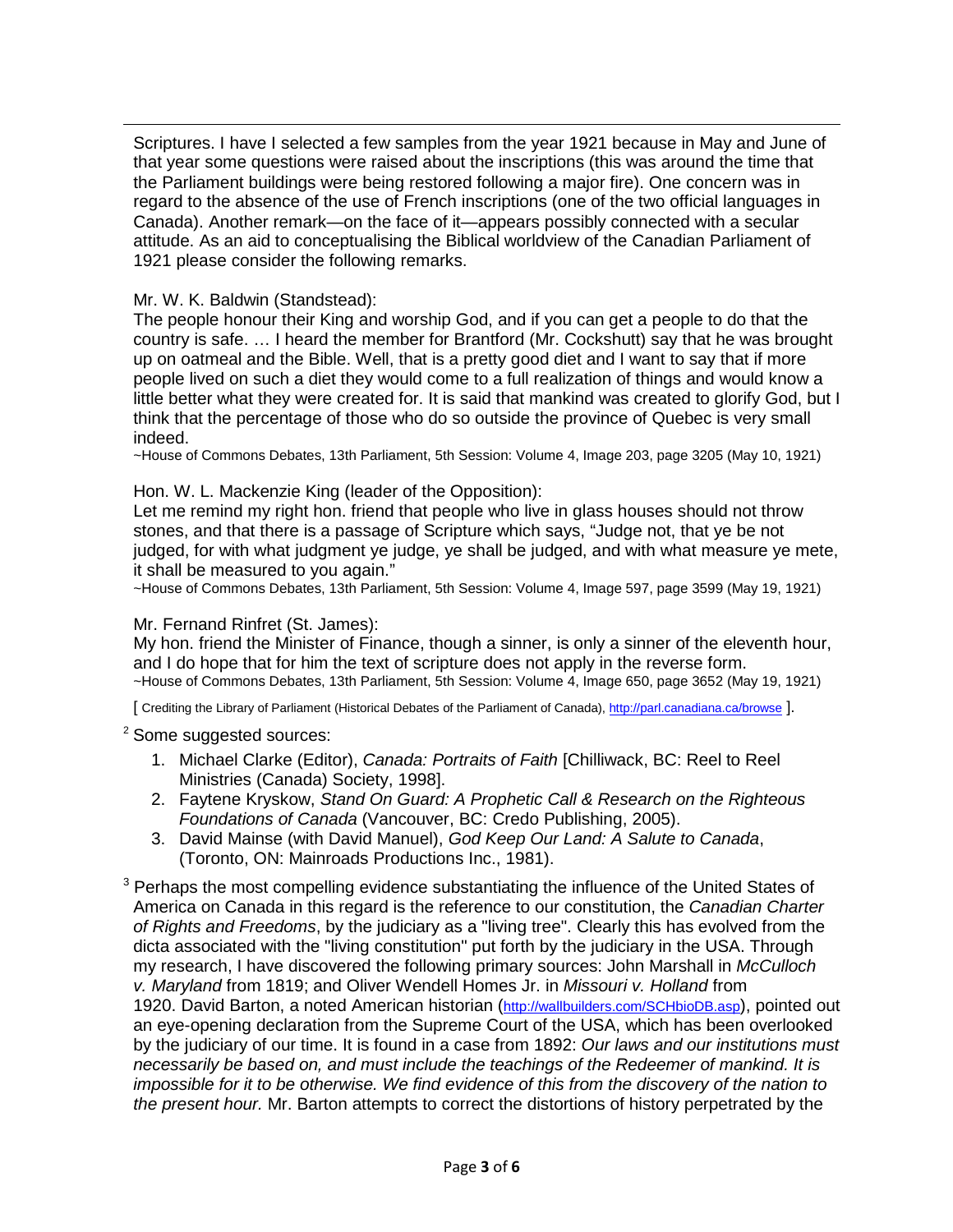<span id="page-11-3"></span>Scriptures. I have I selected a few samples from the year 1921 because in May and June of that year some questions were raised about the inscriptions (this was around the time that the Parliament buildings were being restored following a major fire). One concern was in regard to the absence of the use of French inscriptions (one of the two official languages in Canada). Another remark—on the face of it—appears possibly connected with a secular attitude. As an aid to conceptualising the Biblical worldview of the Canadian Parliament of 1921 please consider the following remarks.

### Mr. W. K. Baldwin (Standstead):

 $\overline{\phantom{a}}$ 

The people honour their King and worship God, and if you can get a people to do that the country is safe. … I heard the member for Brantford (Mr. Cockshutt) say that he was brought up on oatmeal and the Bible. Well, that is a pretty good diet and I want to say that if more people lived on such a diet they would come to a full realization of things and would know a little better what they were created for. It is said that mankind was created to glorify God, but I think that the percentage of those who do so outside the province of Quebec is very small indeed.

<span id="page-11-4"></span>~House of Commons Debates, 13th Parliament, 5th Session: Volume 4, Image 203, page 3205 (May 10, 1921)

Hon. W. L. Mackenzie King (leader of the Opposition):

Let me remind my right hon. friend that people who live in glass houses should not throw stones, and that there is a passage of Scripture which says, "Judge not, that ye be not judged, for with what judgment ye judge, ye shall be judged, and with what measure ye mete, it shall be measured to you again."

~House of Commons Debates, 13th Parliament, 5th Session: Volume 4, Image 597, page 3599 (May 19, 1921)

#### Mr. Fernand Rinfret (St. James):

My hon. friend the Minister of Finance, though a sinner, is only a sinner of the eleventh hour, and I do hope that for him the text of scripture does not apply in the reverse form. ~House of Commons Debates, 13th Parliament, 5th Session: Volume 4, Image 650, page 3652 (May 19, 1921)

[ Crediting the Library of Parliament (Historical Debates of the Parliament of Canada)[, http://parl.canadiana.ca/browse](http://parl.canadiana.ca/browse) ].

<span id="page-11-1"></span><sup>2</sup> Some suggested sources:

- 1. Michael Clarke (Editor), *Canada: Portraits of Faith* [Chilliwack, BC: Reel to Reel Ministries (Canada) Society, 1998].
- 2. Faytene Kryskow, *Stand On Guard: A Prophetic Call & Research on the Righteous Foundations of Canada* (Vancouver, BC: Credo Publishing, 2005).
- 3. David Mainse (with David Manuel), *God Keep Our Land: A Salute to Canada*, (Toronto, ON: Mainroads Productions Inc., 1981).

<span id="page-11-2"></span><span id="page-11-0"></span> $3$  Perhaps the most compelling evidence substantiating the influence of the United States of America on Canada in this regard is the reference to our constitution, the *Canadian Charter of Rights and Freedoms*, by the judiciary as a "living tree". Clearly this has evolved from the dicta associated with the "living constitution" put forth by the judiciary in the USA. Through my research, I have discovered the following primary sources: John Marshall in *McCulloch v. Maryland* from 1819; and Oliver Wendell Homes Jr. in *Missouri v. Holland* from 1920. David Barton, a noted American historian [\(http://wallbuilders.com/SCHbioDB.asp\)](http://wallbuilders.com/SCHbioDB.asp), pointed out an eye-opening declaration from the Supreme Court of the USA, which has been overlooked by the judiciary of our time. It is found in a case from 1892: *Our laws and our institutions must necessarily be based on, and must include the teachings of the Redeemer of mankind. It is impossible for it to be otherwise. We find evidence of this from the discovery of the nation to the present hour.* Mr. Barton attempts to correct the distortions of history perpetrated by the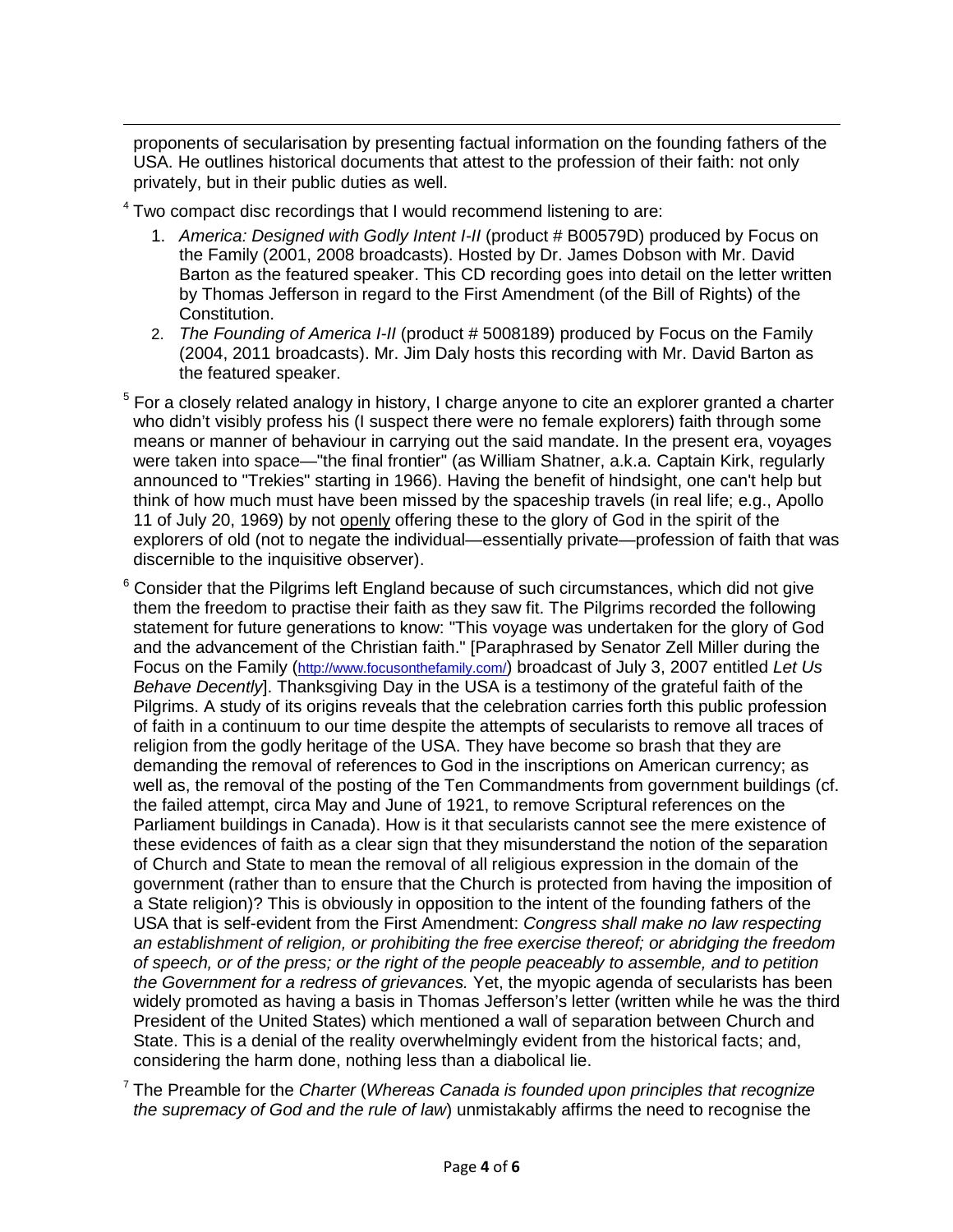proponents of secularisation by presenting factual information on the founding fathers of the USA. He outlines historical documents that attest to the profession of their faith: not only privately, but in their public duties as well.

<sup>4</sup> Two compact disc recordings that I would recommend listening to are:

 $\overline{\phantom{a}}$ 

- 1. *America: Designed with Godly Intent I-II* (product # B00579D) produced by Focus on the Family (2001, 2008 broadcasts). Hosted by Dr. James Dobson with Mr. David Barton as the featured speaker. This CD recording goes into detail on the letter written by Thomas Jefferson in regard to the First Amendment (of the Bill of Rights) of the Constitution.
- 2. *The Founding of America I-II* (product # 5008189) produced by Focus on the Family (2004, 2011 broadcasts). Mr. Jim Daly hosts this recording with Mr. David Barton as the featured speaker.
- <span id="page-12-2"></span> $5$  For a closely related analogy in history, I charge anyone to cite an explorer granted a charter who didn't visibly profess his (I suspect there were no female explorers) faith through some means or manner of behaviour in carrying out the said mandate. In the present era, voyages were taken into space—"the final frontier" (as William Shatner, a.k.a. Captain Kirk, regularly announced to "Trekies" starting in 1966). Having the benefit of hindsight, one can't help but think of how much must have been missed by the spaceship travels (in real life; e.g., Apollo 11 of July 20, 1969) by not openly offering these to the glory of God in the spirit of the explorers of old (not to negate the individual—essentially private—profession of faith that was discernible to the inquisitive observer).
- <span id="page-12-3"></span><span id="page-12-0"></span> $6$  Consider that the Pilgrims left England because of such circumstances, which did not give them the freedom to practise their faith as they saw fit. The Pilgrims recorded the following statement for future generations to know: "This voyage was undertaken for the glory of God and the advancement of the Christian faith." [Paraphrased by Senator Zell Miller during the Focus on the Family [\(http://www.focusonthefamily.com/\)](http://www.focusonthefamily.com/) broadcast of July 3, 2007 entitled *Let Us Behave Decently*]. Thanksgiving Day in the USA is a testimony of the grateful faith of the Pilgrims. A study of its origins reveals that the celebration carries forth this public profession of faith in a continuum to our time despite the attempts of secularists to remove all traces of religion from the godly heritage of the USA. They have become so brash that they are demanding the removal of references to God in the inscriptions on American currency; as well as, the removal of the posting of the Ten Commandments from government buildings (cf. the failed attempt, circa May and June of 1921, to remove Scriptural references on the Parliament buildings in Canada). How is it that secularists cannot see the mere existence of these evidences of faith as a clear sign that they misunderstand the notion of the separation of Church and State to mean the removal of all religious expression in the domain of the government (rather than to ensure that the Church is protected from having the imposition of a State religion)? This is obviously in opposition to the intent of the founding fathers of the USA that is self-evident from the First Amendment: *Congress shall make no law respecting an establishment of religion, or prohibiting the free exercise thereof; or abridging the freedom of speech, or of the press; or the right of the people peaceably to assemble, and to petition the Government for a redress of grievances.* Yet, the myopic agenda of secularists has been widely promoted as having a basis in Thomas Jefferson's letter (written while he was the third President of the United States) which mentioned a wall of separation between Church and State. This is a denial of the reality overwhelmingly evident from the historical facts; and, considering the harm done, nothing less than a diabolical lie.
- <span id="page-12-4"></span><span id="page-12-1"></span><sup>7</sup> The Preamble for the *Charter* (*Whereas Canada is founded upon principles that recognize the supremacy of God and the rule of law*) unmistakably affirms the need to recognise the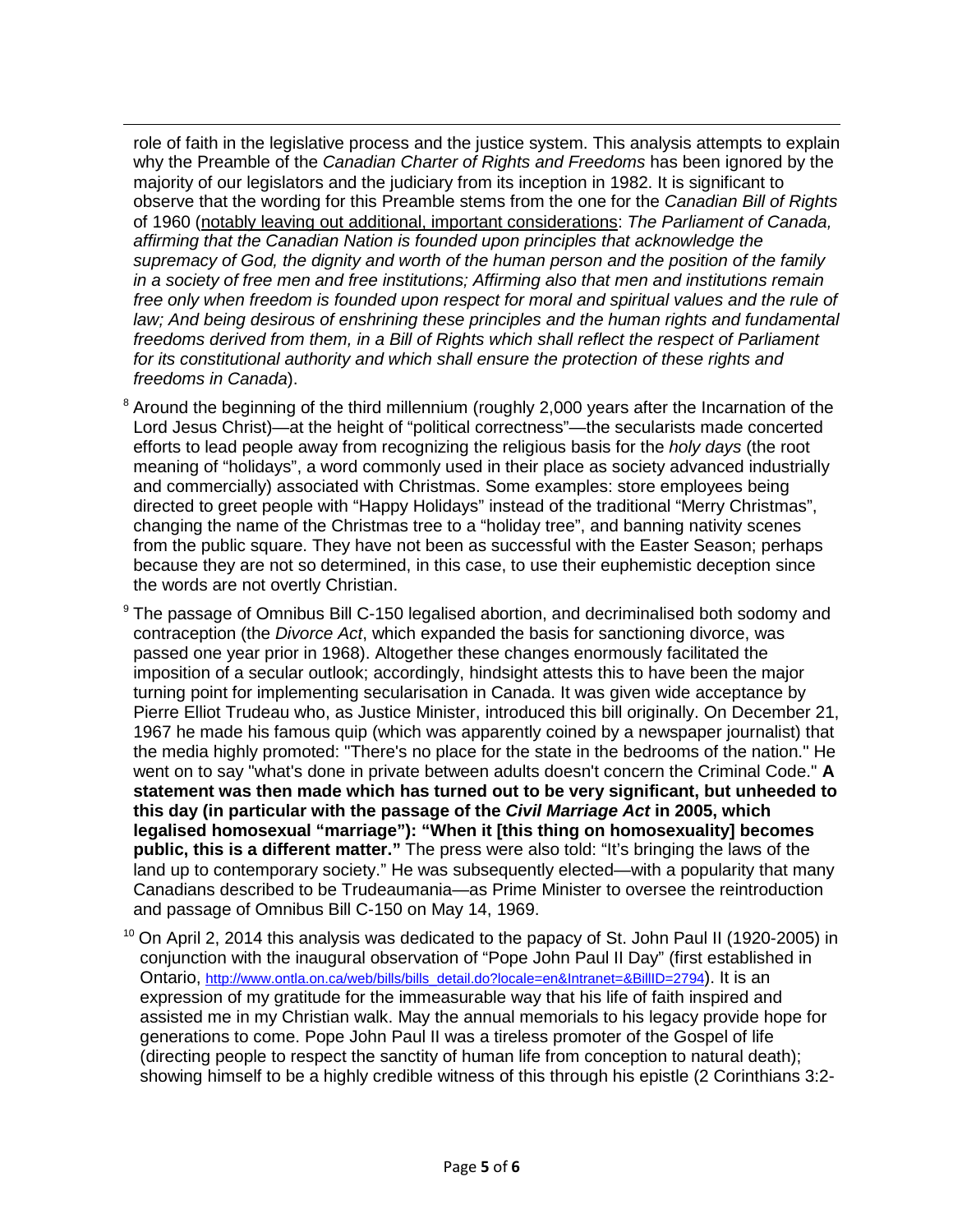role of faith in the legislative process and the justice system. This analysis attempts to explain why the Preamble of the *Canadian Charter of Rights and Freedoms* has been ignored by the majority of our legislators and the judiciary from its inception in 1982. It is significant to observe that the wording for this Preamble stems from the one for the *Canadian Bill of Rights* of 1960 (notably leaving out additional, important considerations: *The Parliament of Canada, affirming that the Canadian Nation is founded upon principles that acknowledge the supremacy of God, the dignity and worth of the human person and the position of the family in a society of free men and free institutions; Affirming also that men and institutions remain free only when freedom is founded upon respect for moral and spiritual values and the rule of law; And being desirous of enshrining these principles and the human rights and fundamental freedoms derived from them, in a Bill of Rights which shall reflect the respect of Parliament for its constitutional authority and which shall ensure the protection of these rights and freedoms in Canada*).

 $\overline{\phantom{a}}$ 

 $8$  Around the beginning of the third millennium (roughly 2,000 years after the Incarnation of the Lord Jesus Christ)—at the height of "political correctness"—the secularists made concerted efforts to lead people away from recognizing the religious basis for the *holy days* (the root meaning of "holidays", a word commonly used in their place as society advanced industrially and commercially) associated with Christmas. Some examples: store employees being directed to greet people with "Happy Holidays" instead of the traditional "Merry Christmas", changing the name of the Christmas tree to a "holiday tree", and banning nativity scenes from the public square. They have not been as successful with the Easter Season; perhaps because they are not so determined, in this case, to use their euphemistic deception since the words are not overtly Christian.

 $9$  The passage of Omnibus Bill C-150 legalised abortion, and decriminalised both sodomy and contraception (the *Divorce Act*, which expanded the basis for sanctioning divorce, was passed one year prior in 1968). Altogether these changes enormously facilitated the imposition of a secular outlook; accordingly, hindsight attests this to have been the major turning point for implementing secularisation in Canada. It was given wide acceptance by Pierre Elliot Trudeau who, as Justice Minister, introduced this bill originally. On December 21, 1967 he made his famous quip (which was apparently coined by a newspaper journalist) that the media highly promoted: "There's no place for the state in the bedrooms of the nation." He went on to say "what's done in private between adults doesn't concern the Criminal Code." **A statement was then made which has turned out to be very significant, but unheeded to this day (in particular with the passage of the** *Civil Marriage Act* **in 2005, which legalised homosexual "marriage"): "When it [this thing on homosexuality] becomes public, this is a different matter."** The press were also told: "It's bringing the laws of the land up to contemporary society." He was subsequently elected—with a popularity that many Canadians described to be Trudeaumania—as Prime Minister to oversee the reintroduction and passage of Omnibus Bill C-150 on May 14, 1969.

 $10$  On April 2, 2014 this analysis was dedicated to the papacy of St. John Paul II (1920-2005) in conjunction with the inaugural observation of "Pope John Paul II Day" (first established in Ontario, [http://www.ontla.on.ca/web/bills/bills\\_detail.do?locale=en&Intranet=&BillID=2794\)](http://www.ontla.on.ca/web/bills/bills_detail.do?locale=en&Intranet=&BillID=2794). It is an expression of my gratitude for the immeasurable way that his life of faith inspired and assisted me in my Christian walk. May the annual memorials to his legacy provide hope for generations to come. Pope John Paul II was a tireless promoter of the Gospel of life (directing people to respect the sanctity of human life from conception to natural death); showing himself to be a highly credible witness of this through his epistle (2 Corinthians 3:2